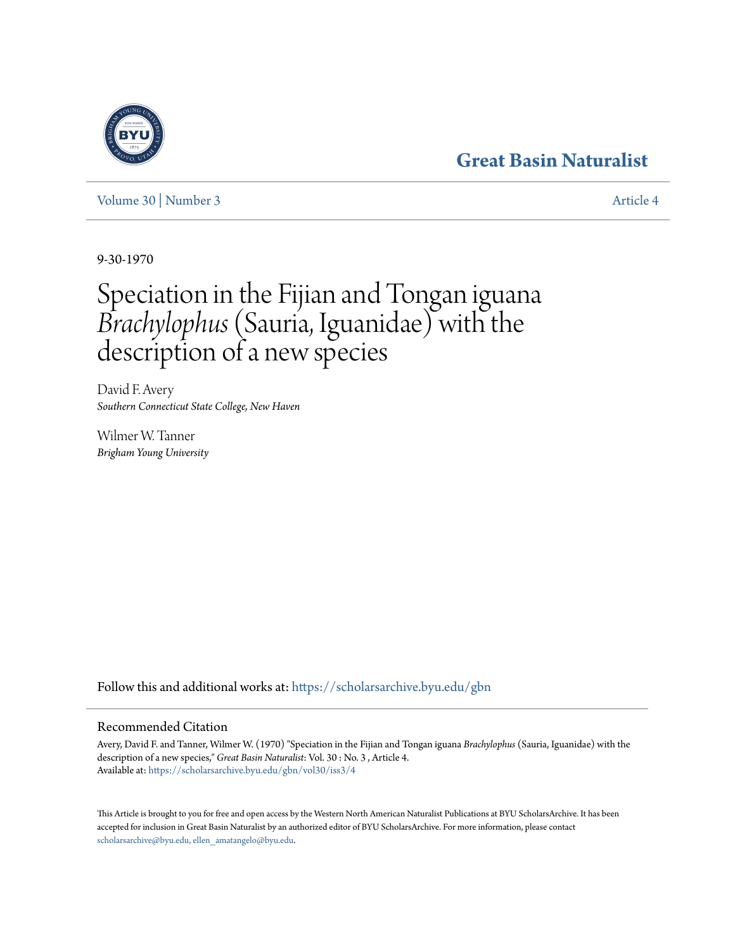# **[Great Basin Naturalist](https://scholarsarchive.byu.edu/gbn?utm_source=scholarsarchive.byu.edu%2Fgbn%2Fvol30%2Fiss3%2F4&utm_medium=PDF&utm_campaign=PDFCoverPages)**



[Volume 30](https://scholarsarchive.byu.edu/gbn/vol30?utm_source=scholarsarchive.byu.edu%2Fgbn%2Fvol30%2Fiss3%2F4&utm_medium=PDF&utm_campaign=PDFCoverPages) | [Number 3](https://scholarsarchive.byu.edu/gbn/vol30/iss3?utm_source=scholarsarchive.byu.edu%2Fgbn%2Fvol30%2Fiss3%2F4&utm_medium=PDF&utm_campaign=PDFCoverPages) [Article 4](https://scholarsarchive.byu.edu/gbn/vol30/iss3/4?utm_source=scholarsarchive.byu.edu%2Fgbn%2Fvol30%2Fiss3%2F4&utm_medium=PDF&utm_campaign=PDFCoverPages)

9-30-1970

# Speciation in the Fijian and Tongan iguana *Brachylophus*(Sauria, Iguanidae) with the description of a new species

David F. Avery *Southern Connecticut State College, New Haven*

Wilmer W. Tanner *Brigham Young University*

Follow this and additional works at: [https://scholarsarchive.byu.edu/gbn](https://scholarsarchive.byu.edu/gbn?utm_source=scholarsarchive.byu.edu%2Fgbn%2Fvol30%2Fiss3%2F4&utm_medium=PDF&utm_campaign=PDFCoverPages)

## Recommended Citation

Avery, David F. and Tanner, Wilmer W. (1970) "Speciation in the Fijian and Tongan iguana *Brachylophus* (Sauria, Iguanidae) with the description of a new species," *Great Basin Naturalist*: Vol. 30 : No. 3 , Article 4. Available at: [https://scholarsarchive.byu.edu/gbn/vol30/iss3/4](https://scholarsarchive.byu.edu/gbn/vol30/iss3/4?utm_source=scholarsarchive.byu.edu%2Fgbn%2Fvol30%2Fiss3%2F4&utm_medium=PDF&utm_campaign=PDFCoverPages)

This Article is brought to you for free and open access by the Western North American Naturalist Publications at BYU ScholarsArchive. It has been accepted for inclusion in Great Basin Naturalist by an authorized editor of BYU ScholarsArchive. For more information, please contact [scholarsarchive@byu.edu, ellen\\_amatangelo@byu.edu.](mailto:scholarsarchive@byu.edu,%20ellen_amatangelo@byu.edu)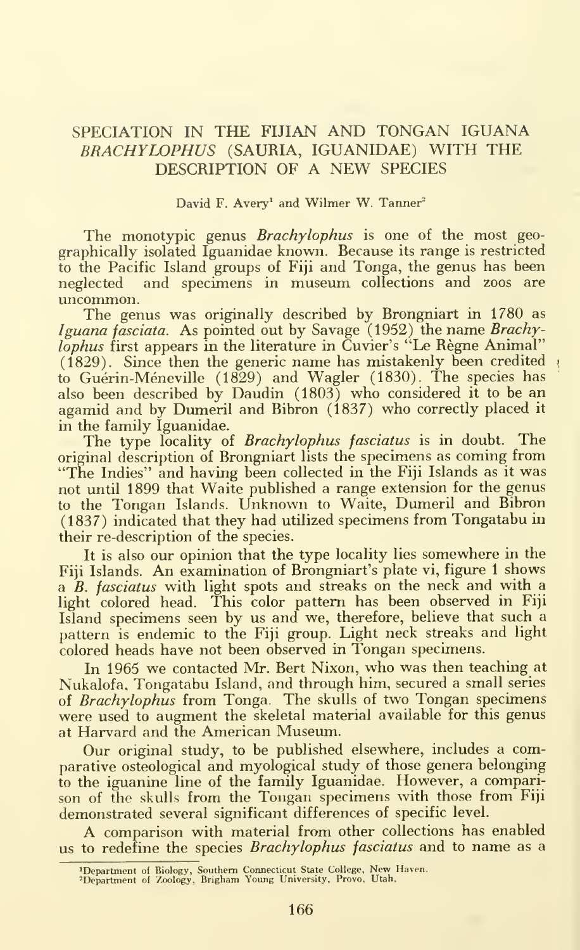### SPECIATION IN THE FIJIAN AND TONGAN IGUANA BRACHYLOPHUS (SAURIA, IGUANIDAE) WITH THE DESCRIPTION OF A NEW SPECIES

David F. Avery<sup>1</sup> and Wilmer W. Tanner<sup>2</sup>

The monotypic genus Brachylophus is one of the most geographically isolated Iguanidae known. Recause its range is restricted to the Pacific Island groups of Fiji and Tonga, the genus has been neglected and specimens in museum collections and zoos are uncommon.

The genus was originally described by Rrongniart in 1780 as Iguana fasciata. As pointed out by Savage (1952) the name Brachylophus first appears in the literature in Cuvier's "Le Règne Animal"  $(1829)$ . Since then the generic name has mistakenly been credited to Guerin-Meneville (1829) and Wagler (1830). The species has also been described by Daudin (1803) who considered it to be an agamid and by Dumeril and Ribron (1837) who correctly placed it in the family Iguanidae.

The type locality of Brachylophus fasciatus is in doubt. The original description of Rrongniart lists the specimens as coming from "The Indies" and having been collected in the Fiji Islands as it was not until 1899 that Waite published a range extension for the genus to the Tongan Islands. Unknown to Waite, Dumeril and Ribron (1837) indicated that they had utilized specimens from Tongatabu in their re-description of the species.

It is also our opinion that the type locality lies somewhere in the Fiji Islands. An examination of Brongniart's plate vi, figure 1 shows a B. fasciatus with light spots and streaks on the neck and with a light colored head. This color pattern has been observed in Fiji Island specimens seen by us and we, therefore, believe that such a pattern is endemic to the Fiji group. Light neck streaks and light colored heads have not been observed in Tongan specimens.

In 1965 we contacted Mr. Bert Nixon, who was then teaching at Nukalofa, Tongatabu Island, and through him, secured a small series of Brachylophus from Tonga. The skulls of two Tongan specimens were used to augment the skeletal material available for this genus at Harvard and the American Museum.

Our original study, to be published elsewhere, includes a comparative osteological and myological study of those genera belonging to the iguanine line of the family Iguanidae. However, a comparison of the skulls from the Tongan specimens with those from Fiji demonstrated several significant differences of specific level.

A comparison with material from other collections has enabled us to redefine the species Brachylophus fasciatus and to name as a

<sup>^</sup>Department of Biology, Southern Connecticut State College, New Haven. -Department of Zoology, Brigham Young University, Provo, Utah,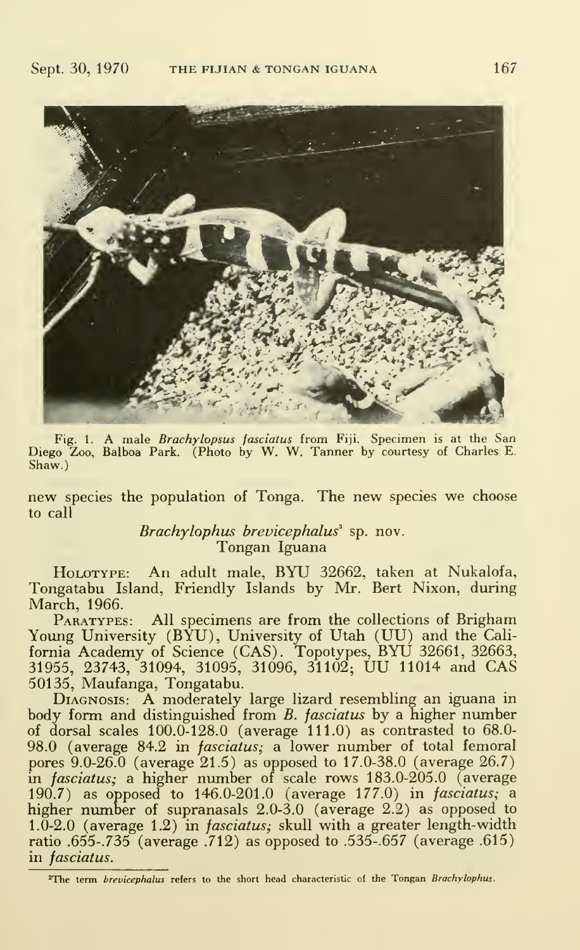

Fig. 1. A male Brachylopsus fasciatus from Fiji. Specimen is at the San Diego Zoo, Balboa Park. (Photo by W. W. Tanner by courtesy of Charles E. Shaw.)

new species the population of Tonga. The new species we choose to call

> Brachylophus brevicephalus<sup>3</sup> sp. nov. Tongan Iguana

HoLOTYPE: An adult male, BYU 32662, taken at Nukalofa, Tongatabu Island, Friendly Islands by Mr. Bert Nixon, during March, 1966.

PARATYPES: All specimens are from the collections of Brigham Young University (BYU), University of Utah (UU) and the California Academy of Science (CAS). Topotypes, BYU 32661, 32663, 31955, 23743, 31094, 31095, 31096, 31102; UU <sup>11014</sup> and CAS 50135, Maufanga, Tongatabu.

DIAGNOSIS: A moderately large lizard resembling an iguana in body form and distinguished from *B. fasciatus* by a higher number of dorsal scales  $100.0-128.0$  (average  $111.0$ ) as contrasted to  $68.0-$ 98.0 (average 84.2 in *fasciatus*; a lower number of total femoral pores 9.0-26.0 (average 21.5) as opposed to 17.0-38.0 (average 26.7) in fasciatus; a higher number of scale rows 183.0-205.0 (average 190.7) as opposed to 146.0-201.0 (average 177.0) in *fasciatus*; a higher number of supranasals 2.0-3.0 (average 2.2) as opposed to 1.0-2.0 (average 1.2) in *fasciatus*; skull with a greater length-width ratio .655-. 735 (average .712) as opposed to .535-. 657 (average .615) in fasciatus.

<sup>3</sup>The term brevicephalus refers to the short head characteristic of the Tongan Brachylophus.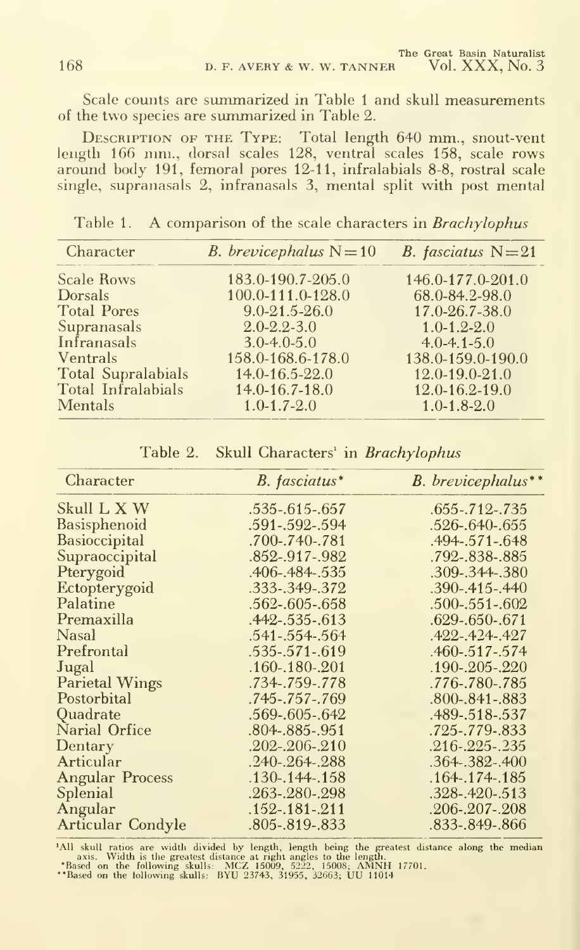Scale counts are summarized in Table <sup>1</sup> and skull measurements of the two species are summarized in Table 2.

Description of the Type: Total length 640 mm., snout-vent length 166 mm., dorsal scales 128, ventral scales 158, scale rows around body 191, femoral pores 12-11, infralabials 8-8, rostral scale single, supranasals 2, infranasals 3, mental split with post mental

Table 1. A comparison of the scale characters in Brachylophus

| Character                 | <i>B. brevicephalus</i> $N = 10$ | B. fasciatus $N=21$  |
|---------------------------|----------------------------------|----------------------|
| <b>Scale Rows</b>         | 183.0-190.7-205.0                | 146.0-177.0-201.0    |
| <b>Dorsals</b>            | 100.0-111.0-128.0                | 68.0-84.2-98.0       |
| <b>Total Pores</b>        | $9.0 - 21.5 - 26.0$              | 17.0-26.7-38.0       |
| Supranasals               | $2.0 - 2.2 - 3.0$                | $1.0 - 1.2 - 2.0$    |
| Infranasals               | $3.0 - 4.0 - 5.0$                | $4.0 - 4.1 - 5.0$    |
| Ventrals                  | 158.0-168.6-178.0                | 138.0-159.0-190.0    |
| <b>Total Supralabials</b> | $14.0 - 16.5 - 22.0$             | $12.0 - 19.0 - 21.0$ |
| Total Infralabials        | $14.0 - 16.7 - 18.0$             | $12.0 - 16.2 - 19.0$ |
| <b>Mentals</b>            | $1.0 - 1.7 - 2.0$                | $1.0 - 1.8 - 2.0$    |

| Character              | B. fasciatus*        | B. brevicephalus**   |
|------------------------|----------------------|----------------------|
| Skull L X W            | .535-.615-.657       | $.655 - .712 - .735$ |
| Basisphenoid           | .591-.592-.594       | .526-.640-.655       |
| Basioccipital          | .700-.740-.781       | .494-.571-.648       |
| Supraoccipital         | .852-.917-.982       | .792-.838-.885       |
| Pterygoid              | .406-.484-.535       | .309-.344-.380       |
| Ectopterygoid          | .333-.349-.372       | $.390 - .415 - .440$ |
| Palatine               | $.562 - .605 - .658$ | $.500 - .551 - .602$ |
| Premaxilla             | $.442 - .535 - .613$ | $.629 - .650 - .671$ |
| Nasal                  | .541-.554-.564       | $.422 - .424 - .427$ |
| Prefrontal             | .535-.571-.619       | .460-.517-.574       |
| Jugal                  | $.160 - 180 - 201$   | $.190 - .205 - .220$ |
| <b>Parietal Wings</b>  | .734-.759-.778       | .776-.780-.785       |
| Postorbital            | .745-.757-.769       | $.800 - .841 - .883$ |
| Quadrate               | .569-.605-.642       | .489-.518-.537       |
| Narial Orfice          | .804-.885-.951       | .725-.779-.833       |
| Dentary                | $.202 - .206 - .210$ | $.216 - .225 - .235$ |
| Articular              | $.240 - .264 - .288$ | $.364 - .382 - .400$ |
| <b>Angular Process</b> | $.130 - .144 - .158$ | $.164 - .174 - .185$ |
| Splenial               | .263-.280-.298       | $.328 - .420 - .513$ |
| Angular                | $.152 - .181 - .211$ | .206-.207-.208       |
| Articular Condyle      | .805-.819-.833       | .833-.849-.866       |

Table 2. Skull Characters' in Brachylophus

"All skull ratios are width divided by length, length being the greatest distance along the median<br>"axis. Width is the greatest distance at right angles to the length."<br>"Based on the following skulls: MCZ 15009, 5222, 1500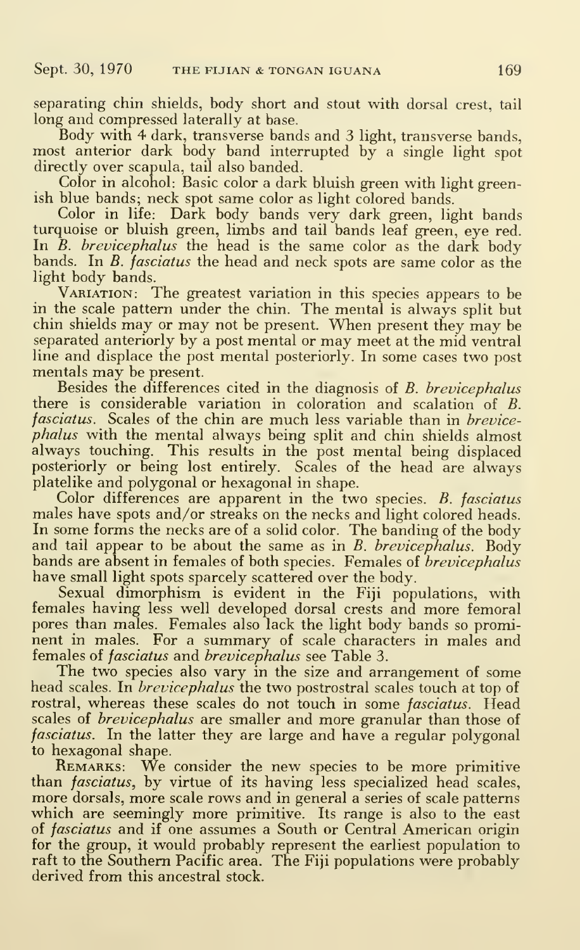separating chin shields, body short and stout with dorsal crest, tail long and compressed laterally at base.

Body with 4 dark, transverse bands and 3 light, transverse bands, most anterior dark body band interrupted by a single light spot directly over scapula, tail also banded.

Color in alcohol: Basic color a dark bluish green with light greenish blue bands; neck spot same color as light colored bands.

Color in life: Dark body bands very dark green, light bands turquoise or bluish green, limbs and tail bands leaf green, eye red. In  $\tilde{B}$ . *brevicephalus* the head is the same color as the dark body bands. In B. fasciatus the head and neck spots are same color as the light body bands.

Variation: The greatest variation in this species appears to be in the scale pattern under the chin. The mental is always split but chin shields may or may not be present. When present they may be separated anteriorly by <sup>a</sup> post mental or may meet at the mid ventral line and displace the post mental posteriorly. In some cases two post mentals may be present.

Besides the differences cited in the diagnosis of B. brevicephalus there is considerable variation in coloration and scalation of B. fasciatus. Scales of the chin are much less variable than in *brevice*phalus with the mental always being split and chin shields almost always touching. This results in the post mental being displaced posteriorly or being lost entirely. Scales of the head are always platelike and polygonal or hexagonal in shape.

Color differences are apparent in the two species. B. fasciatus males have spots and/or streaks on the necks and light colored heads. In some forms the necks are of a solid color. The banding of the body and tail appear to be about the same as in  $B$ . brevicephalus. Body bands are absent in females of both species. Females of *brevicephalus* have small light spots sparcely scattered over the body.

Sexual dimorphism is evident in the Fiji populations, with females having less well developed dorsal crests and more femoral pores than males. Females also lack the light body bands so prominent in males. For <sup>a</sup> summary of scale characters in males and females of fasciatus and brevicephalus see Table 3.

The two species also vary in the size and arrangement of some head scales. In *brevicephalus* the two postrostral scales touch at top of rostral, whereas these scales do not touch in some fasciatus. Head scales of *brevicephalus* are smaller and more granular than those of fasciatus. In the latter they are large and have a regular polygonal to hexagonal shape.

REMARKS: We consider the new species to be more primitive than fasciatus, by virtue of its having less specialized head scales, more dorsals, more scale rows and in general a series of scale patterns which are seemingly more primitive. Its range is also to the east of fasciatus and if one assumes a South or Central American origin for the group, it would probably represent the earliest population to raft to the Southern Pacific area. The Fiji populations were probably derived from this ancestral stock.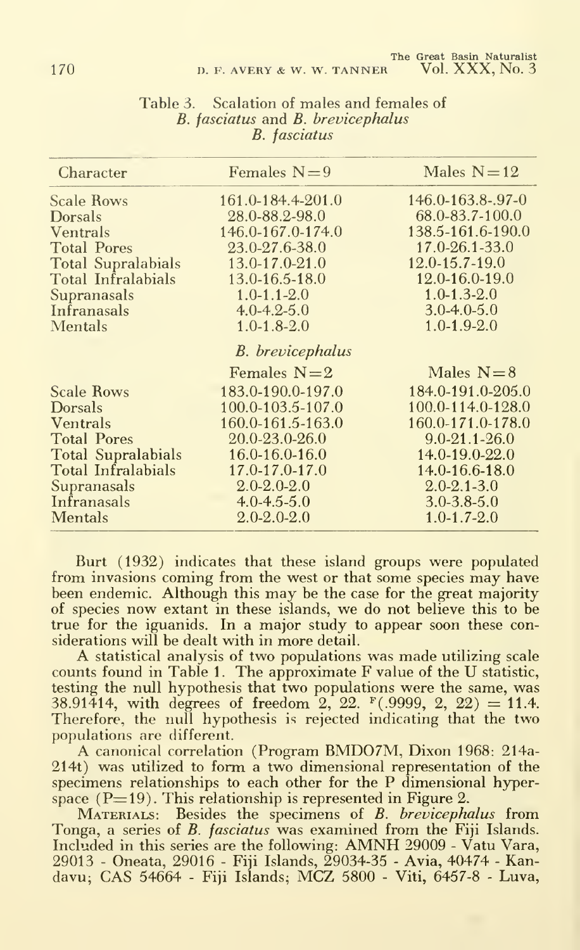| Character                 | Females $N=9$           | Males $N=12$        |
|---------------------------|-------------------------|---------------------|
| <b>Scale Rows</b>         | 161.0-184.4-201.0       | 146.0-163.8-.97-0   |
| Dorsals                   | 28.0-88.2-98.0          | 68.0-83.7-100.0     |
| <b>Ventrals</b>           | 146.0-167.0-174.0       | 138.5-161.6-190.0   |
| <b>Total Pores</b>        | 23.0-27.6-38.0          | 17.0-26.1-33.0      |
| <b>Total Supralabials</b> | $13.0 - 17.0 - 21.0$    | 12.0-15.7-19.0      |
| Total Infralabials        | 13.0-16.5-18.0          | 12.0-16.0-19.0      |
| Supranasals               | $1.0 - 1.1 - 2.0$       | $1.0 - 1.3 - 2.0$   |
| Infranasals               | $4.0 - 4.2 - 5.0$       | $3.0 - 4.0 - 5.0$   |
| <b>Mentals</b>            | $1.0 - 1.8 - 2.0$       | $1.0 - 1.9 - 2.0$   |
|                           | <b>B.</b> brevicephalus |                     |
|                           | Females $N=2$           | Males $N=8$         |
| <b>Scale Rows</b>         | 183.0-190.0-197.0       | 184.0-191.0-205.0   |
| <b>Dorsals</b>            | $100.0 - 103.5 - 107.0$ | 100.0-114.0-128.0   |
| <b>Ventrals</b>           | 160.0-161.5-163.0       | 160.0-171.0-178.0   |
| <b>Total Pores</b>        | 20.0-23.0-26.0          | $9.0 - 21.1 - 26.0$ |
| <b>Total Supralabials</b> | $16.0 - 16.0 - 16.0$    | 14.0-19.0-22.0      |
| Total Infralabials        | $17.0 - 17.0 - 17.0$    | 14.0-16.6-18.0      |
| Supranasals               | $2.0 - 2.0 - 2.0$       | $2.0 - 2.1 - 3.0$   |
| Infranasals               | $4.0 - 4.5 - 5.0$       | $3.0 - 3.8 - 5.0$   |
| <b>Mentals</b>            | $2.0 - 2.0 - 2.0$       | $1.0 - 1.7 - 2.0$   |

#### Table 3. Scalation of males and females of B. fasciatus and B. brevicephalus B. fasciatus

Burt (1932) indicates that these island groups were populated from invasions coming from the west or that some species may have been endemic. Although this may be the case for the great majority of species now extant in these islands, we do not believe this to be true for the iguanids. In a major study to appear soon these con-

A statistical analysis of two populations was made utilizing scale counts found in Table 1. The approximate F value of the U statistic, testing the null hypothesis that two populations were the same, was 38.91414, with degrees of freedom 2, 22.  $F(.9999, 2, 22) = 11.4$ . Therefore, the null hypothesis is rejected indicating that the two populations are different.

A canonical correlation (Program BMD07M, Dixon 1968: 214a-214t) was utilized to form a two dimensional representation of the specimens relationships to each other for the P dimensional hyperspace  $(P=19)$ . This relationship is represented in Figure 2.

MATERIALS: Besides the specimens of B. brevicephalus from Tonga, a series of B. fasciatus was examined from the Fiji Islands. Included in this series are the following: AMNH <sup>29009</sup> - Vatu Vara, 29013 - Oneata, 29016 - Fiji Islands, 29034-35 - Avia, 40474 - Kandavu; CAS <sup>54664</sup> - Fiji Islands; MCZ <sup>5800</sup> - Viti, 6457-8 - Luva,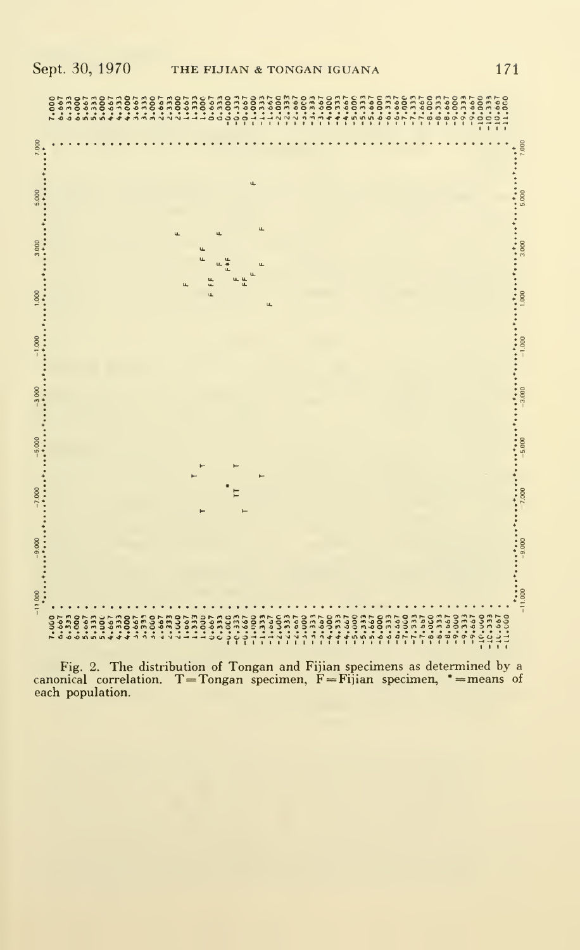

Fig. 2. The distribution of Tongan and Fijian specimens as determined by <sup>a</sup> canonical correlation. T=Tongan specimen,  $\dot{F} = Fij$ ian specimen, \*=means of each population.